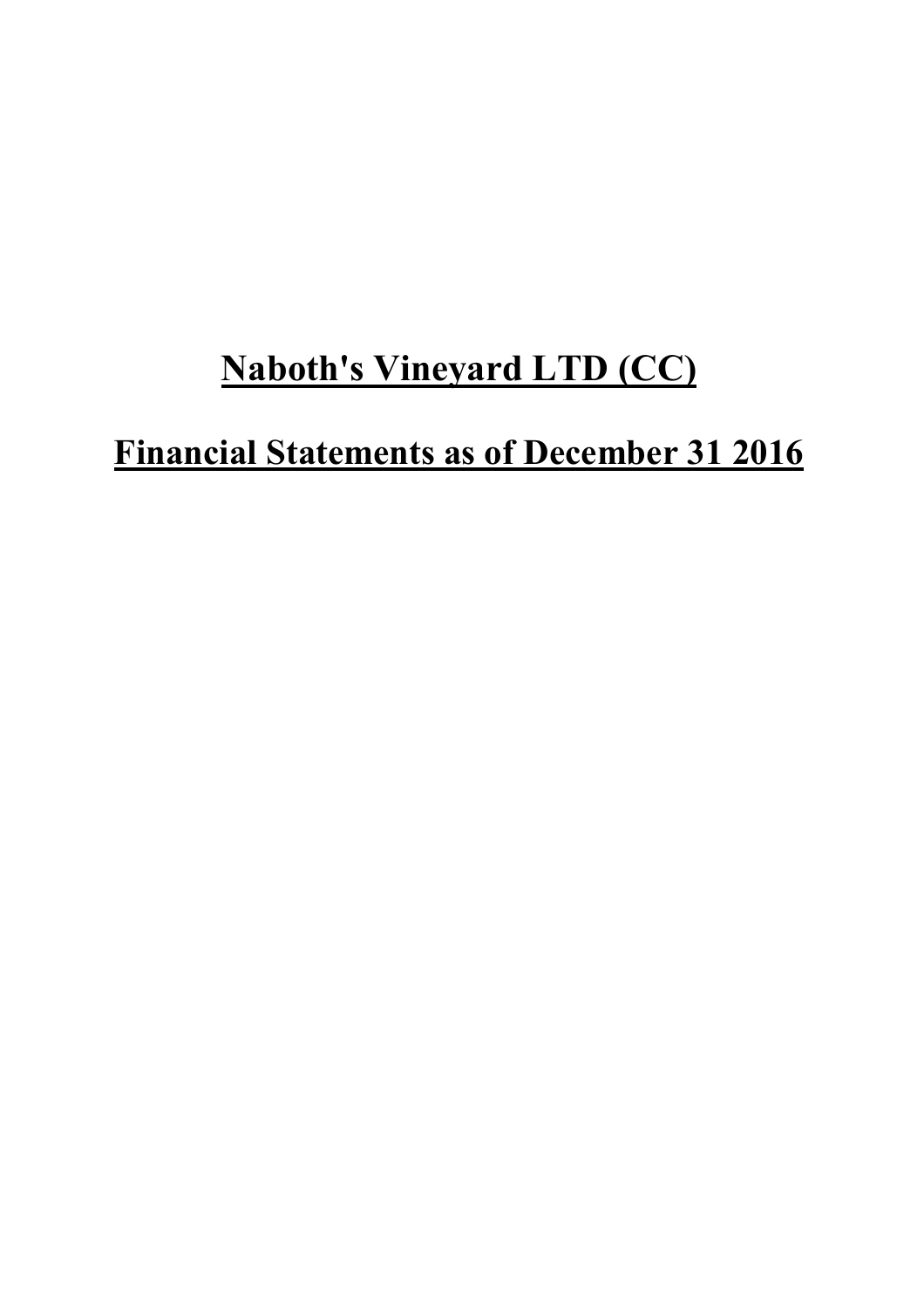# **Naboth's Vineyard LTD (CC)**

# **Financial Statements as of December 31 2016**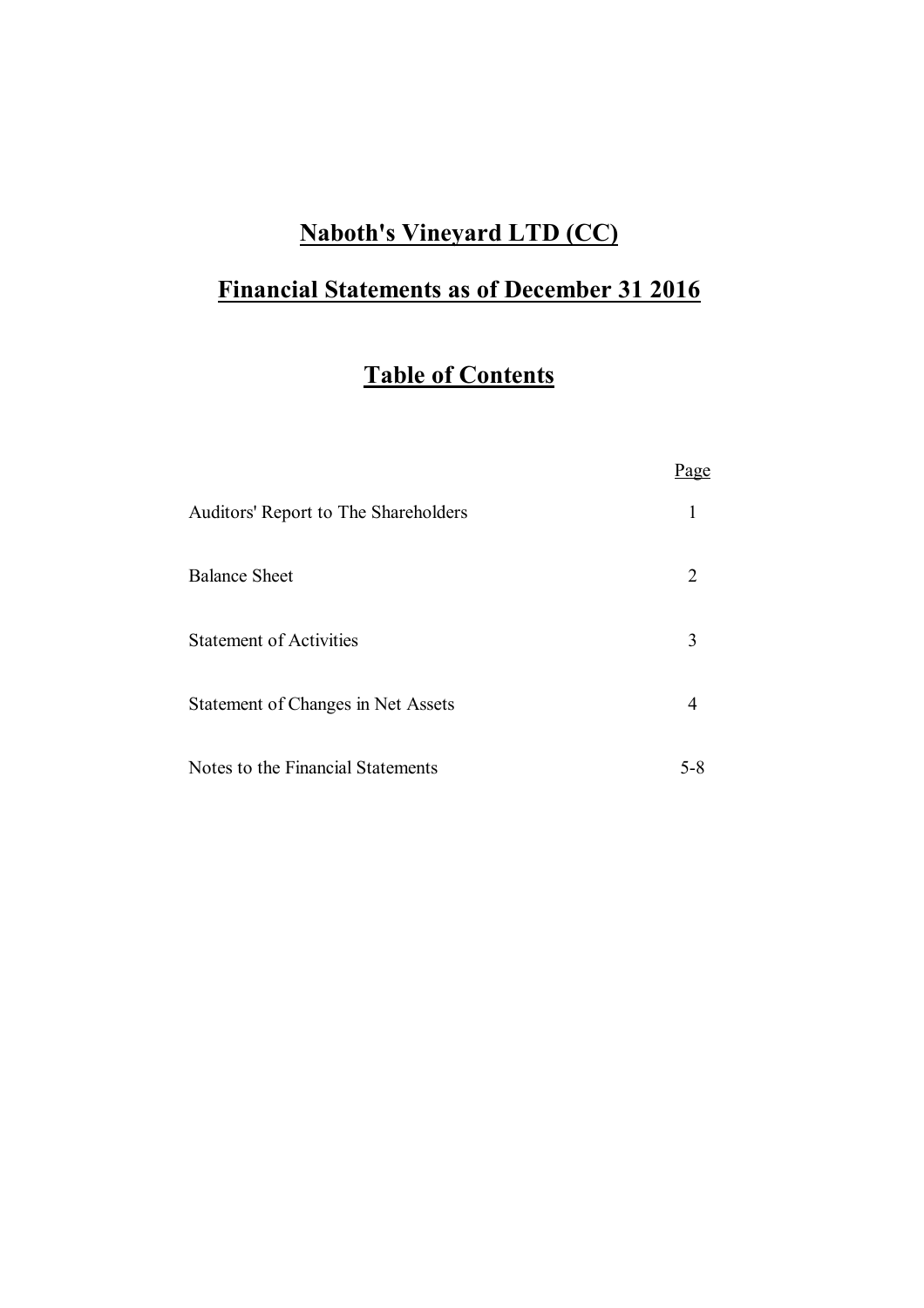### **Naboth's Vineyard LTD (CC)**

# **Financial Statements as of December 31 2016**

# **Table of Contents**

|                                      | Page                        |
|--------------------------------------|-----------------------------|
| Auditors' Report to The Shareholders |                             |
| <b>Balance Sheet</b>                 | $\mathcal{D}_{\mathcal{L}}$ |
| <b>Statement of Activities</b>       | 3                           |
| Statement of Changes in Net Assets   |                             |
| Notes to the Financial Statements    | 5-8                         |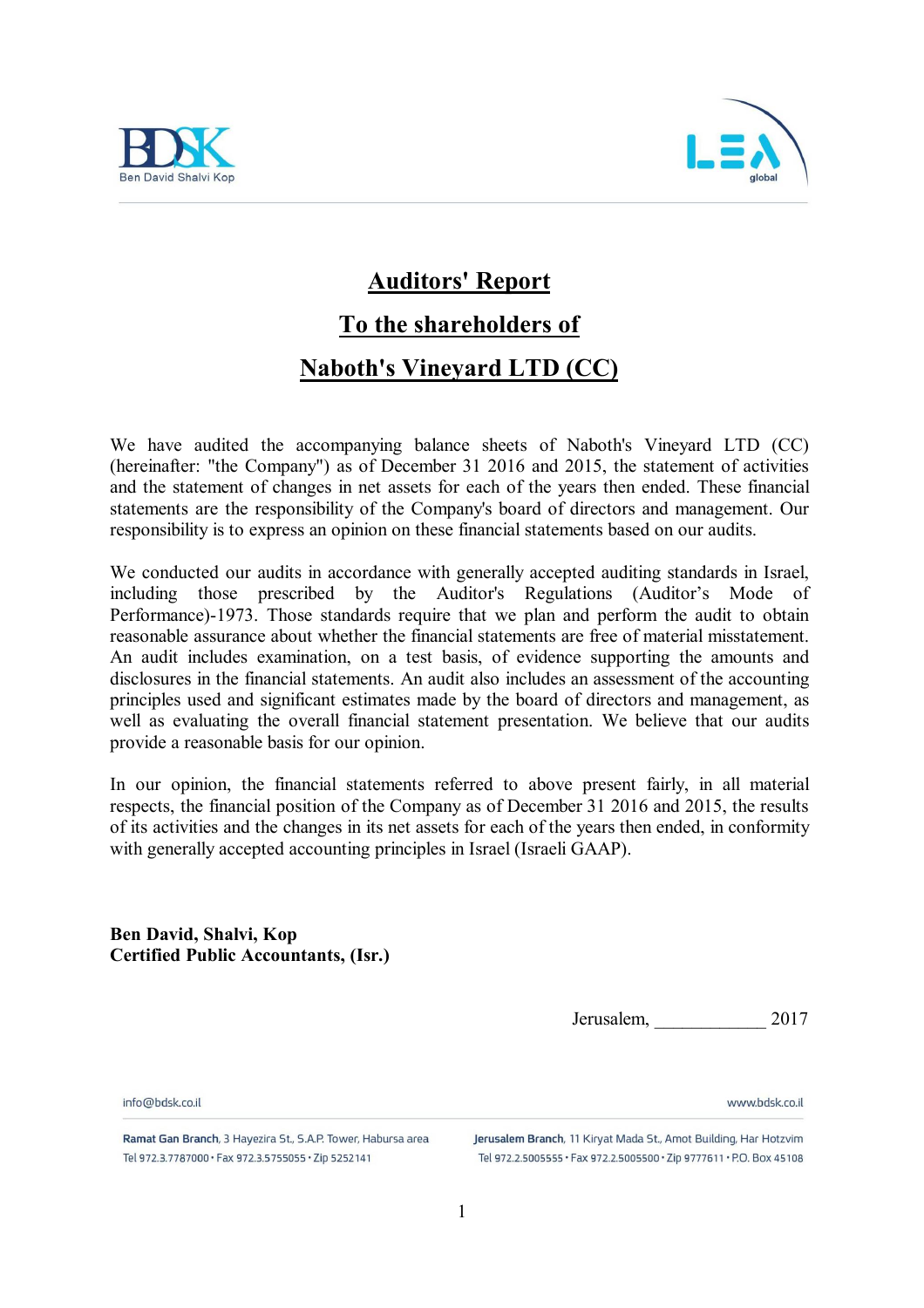



### **Auditors' Report**

# **To the shareholders of**

### **Naboth's Vineyard LTD (CC)**

We have audited the accompanying balance sheets of Naboth's Vineyard LTD (CC) (hereinafter: "the Company") as of December 31 2016 and 2015, the statement of activities and the statement of changes in net assets for each of the years then ended. These financial statements are the responsibility of the Company's board of directors and management. Our responsibility is to express an opinion on these financial statements based on our audits.

We conducted our audits in accordance with generally accepted auditing standards in Israel, including those prescribed by the Auditor's Regulations (Auditor's Mode of Performance)-1973. Those standards require that we plan and perform the audit to obtain reasonable assurance about whether the financial statements are free of material misstatement. An audit includes examination, on a test basis, of evidence supporting the amounts and disclosures in the financial statements. An audit also includes an assessment of the accounting principles used and significant estimates made by the board of directors and management, as well as evaluating the overall financial statement presentation. We believe that our audits provide a reasonable basis for our opinion.

In our opinion, the financial statements referred to above present fairly, in all material respects, the financial position of the Company as of December 31 2016 and 2015, the results of its activities and the changes in its net assets for each of the years then ended, in conformity with generally accepted accounting principles in Israel (Israeli GAAP).

**Ben David, Shalvi, Kop Certified Public Accountants, (Isr.)**

Jerusalem, \_\_\_\_\_\_\_\_\_\_\_\_ 2017

www.hdsk.co.il

info@hdsk.co.il

Ramat Gan Branch, 3 Hayezira St., S.A.P. Tower, Habursa area Tel 972.3.7787000 · Fax 972.3.5755055 · Zip 5252141

Jerusalem Branch, 11 Kiryat Mada St., Amot Building, Har Hotzvim Tel 972.2.5005555 · Fax 972.2.5005500 · Zip 9777611 · P.O. Box 45108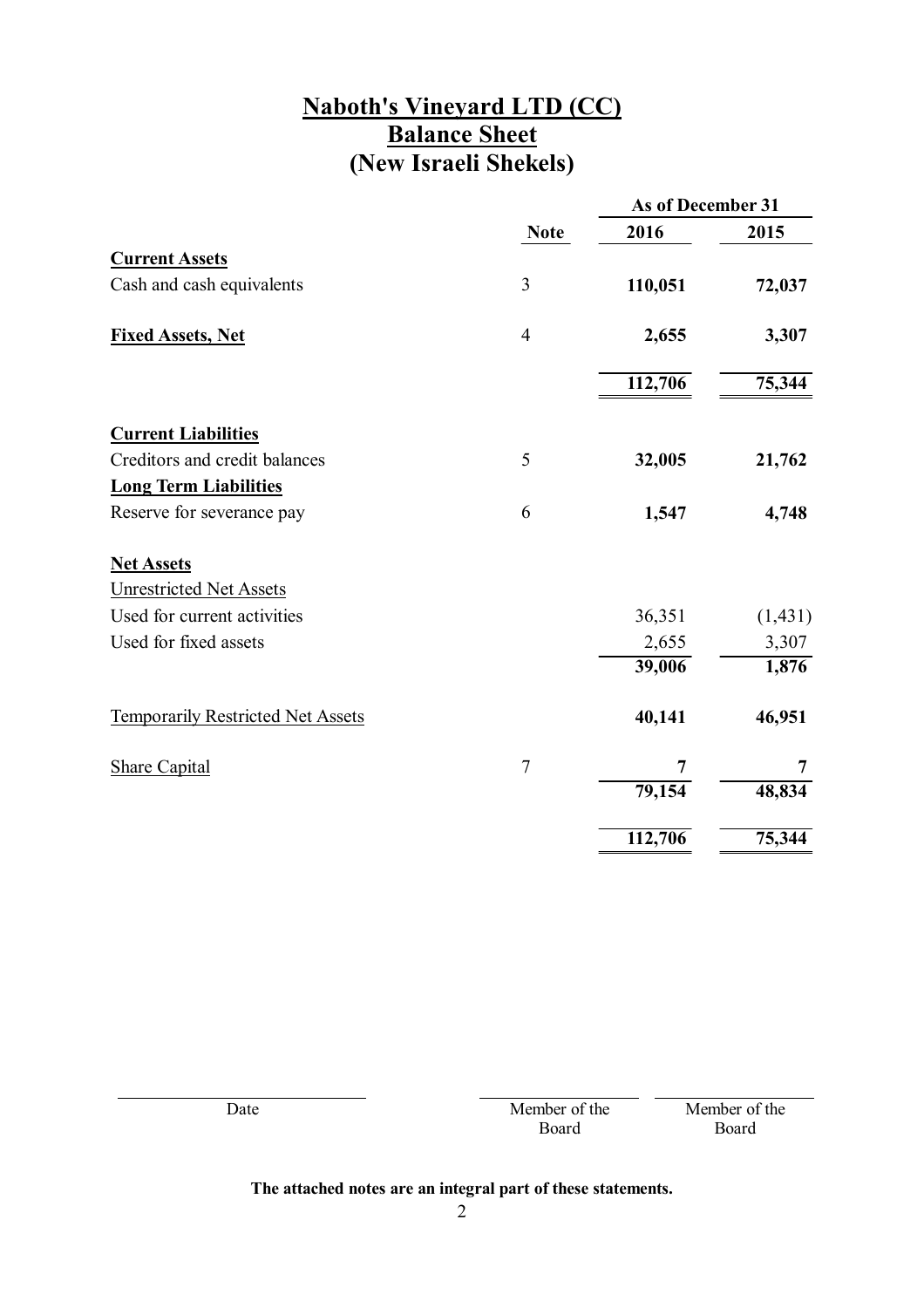### **Naboth's Vineyard LTD (CC) Balance Sheet (New Israeli Shekels)**

|                                          |                | As of December 31 |          |
|------------------------------------------|----------------|-------------------|----------|
|                                          | <b>Note</b>    | 2016              | 2015     |
| <b>Current Assets</b>                    |                |                   |          |
| Cash and cash equivalents                | 3              | 110,051           | 72,037   |
| <b>Fixed Assets, Net</b>                 | $\overline{4}$ | 2,655             | 3,307    |
|                                          |                | 112,706           | 75,344   |
| <b>Current Liabilities</b>               |                |                   |          |
| Creditors and credit balances            | 5              | 32,005            | 21,762   |
| <b>Long Term Liabilities</b>             |                |                   |          |
| Reserve for severance pay                | 6              | 1,547             | 4,748    |
| <b>Net Assets</b>                        |                |                   |          |
| <b>Unrestricted Net Assets</b>           |                |                   |          |
| Used for current activities              |                | 36,351            | (1, 431) |
| Used for fixed assets                    |                | 2,655             | 3,307    |
|                                          |                | 39,006            | 1,876    |
| <b>Temporarily Restricted Net Assets</b> |                | 40,141            | 46,951   |
| <b>Share Capital</b>                     | $\overline{7}$ | 7                 | 7        |
|                                          |                | 79,154            | 48,834   |
|                                          |                | 112,706           | 75,344   |

| Date | Member of the | Member of the |
|------|---------------|---------------|
|      | Board         | Board         |
|      |               |               |
|      |               |               |

### **The attached notes are an integral part of these statements.**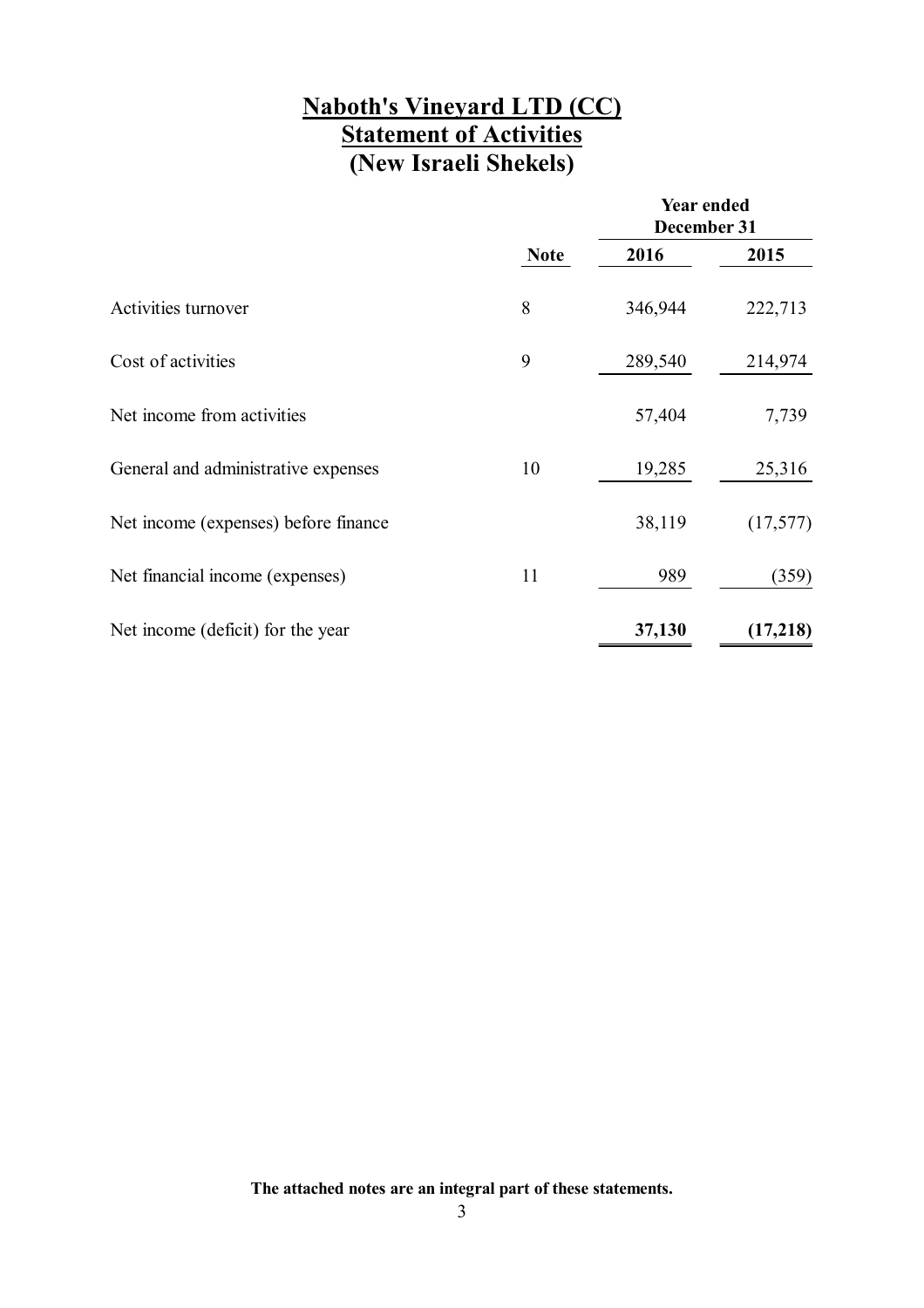### **Naboth's Vineyard LTD (CC) Statement of Activities (New Israeli Shekels)**

|                                      |             | <b>Year ended</b><br>December 31 |           |
|--------------------------------------|-------------|----------------------------------|-----------|
|                                      | <b>Note</b> | 2016                             | 2015      |
| Activities turnover                  | 8           | 346,944                          | 222,713   |
| Cost of activities                   | 9           | 289,540                          | 214,974   |
| Net income from activities           |             | 57,404                           | 7,739     |
| General and administrative expenses  | 10          | 19,285                           | 25,316    |
| Net income (expenses) before finance |             | 38,119                           | (17, 577) |
| Net financial income (expenses)      | 11          | 989                              | (359)     |
| Net income (deficit) for the year    |             | 37,130                           | (17,218)  |

**The attached notes are an integral part of these statements.**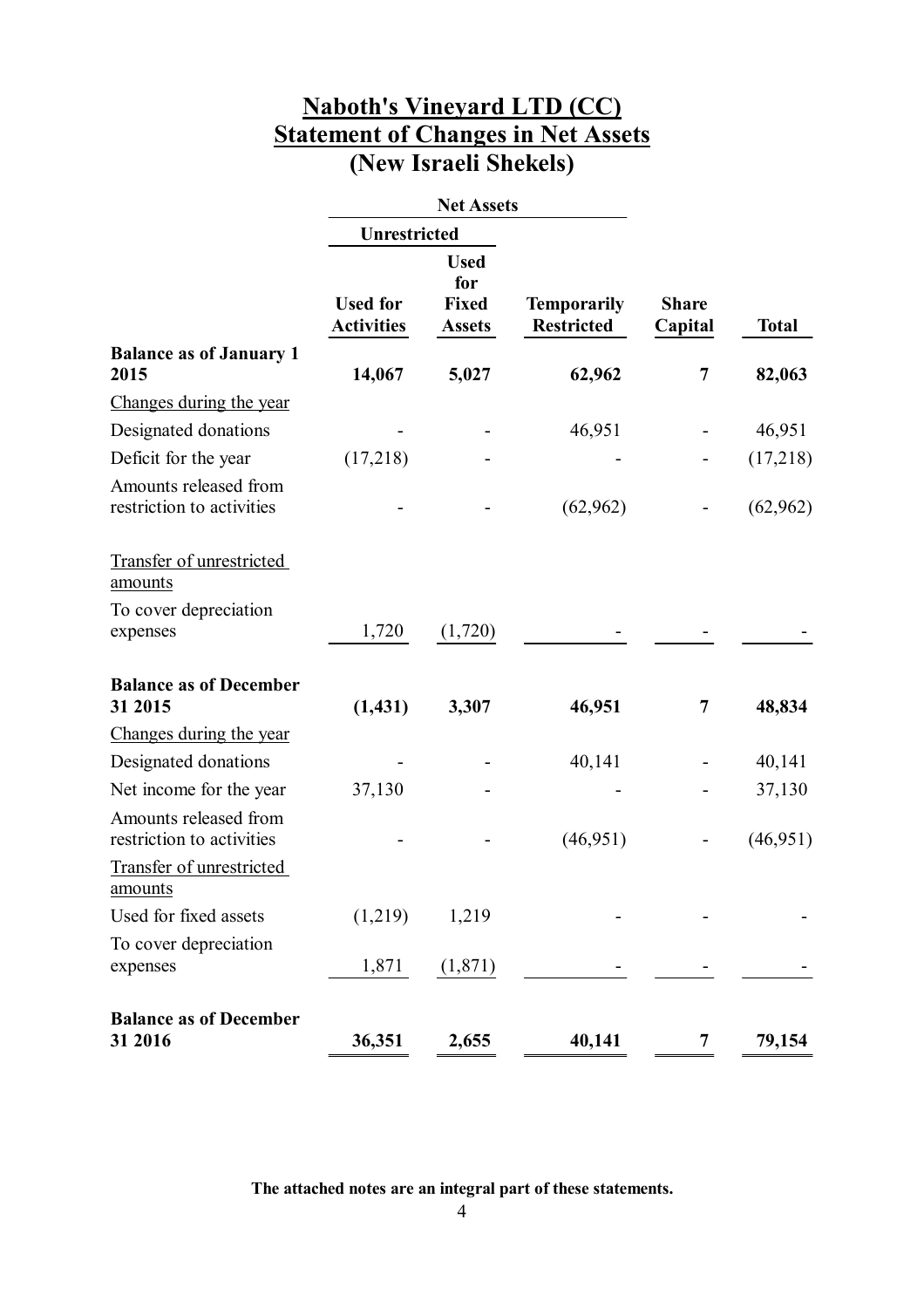### **Naboth's Vineyard LTD (CC) Statement of Changes in Net Assets (New Israeli Shekels)**

|                                                    |                                      | <b>Net Assets</b>                                   |                                         |                         |              |
|----------------------------------------------------|--------------------------------------|-----------------------------------------------------|-----------------------------------------|-------------------------|--------------|
|                                                    | <b>Unrestricted</b>                  |                                                     |                                         |                         |              |
|                                                    | <b>Used for</b><br><b>Activities</b> | <b>Used</b><br>for<br><b>Fixed</b><br><b>Assets</b> | <b>Temporarily</b><br><b>Restricted</b> | <b>Share</b><br>Capital | <b>Total</b> |
| <b>Balance as of January 1</b><br>2015             | 14,067                               | 5,027                                               | 62,962                                  | 7                       | 82,063       |
| Changes during the year                            |                                      |                                                     |                                         |                         |              |
| Designated donations                               |                                      |                                                     | 46,951                                  |                         | 46,951       |
| Deficit for the year                               | (17,218)                             |                                                     |                                         |                         | (17,218)     |
| Amounts released from<br>restriction to activities |                                      |                                                     | (62, 962)                               |                         | (62, 962)    |
| Transfer of unrestricted<br>amounts                |                                      |                                                     |                                         |                         |              |
| To cover depreciation<br>expenses                  | 1,720                                | (1,720)                                             |                                         |                         |              |
| <b>Balance as of December</b><br>31 2015           | (1, 431)                             | 3,307                                               | 46,951                                  | 7                       | 48,834       |
| Changes during the year                            |                                      |                                                     |                                         |                         |              |
| Designated donations                               |                                      |                                                     | 40,141                                  |                         | 40,141       |
| Net income for the year                            | 37,130                               |                                                     |                                         |                         | 37,130       |
| Amounts released from<br>restriction to activities |                                      |                                                     | (46, 951)                               |                         | (46, 951)    |
| Transfer of unrestricted<br><u>amounts</u>         |                                      |                                                     |                                         |                         |              |
| Used for fixed assets                              | (1,219)                              | 1,219                                               |                                         |                         |              |
| To cover depreciation                              |                                      |                                                     |                                         |                         |              |
| expenses                                           | 1,871                                | (1,871)                                             |                                         |                         |              |
| <b>Balance as of December</b><br>31 2016           | 36,351                               | 2,655                                               | 40,141                                  | 7                       | 79,154       |

**The attached notes are an integral part of these statements.**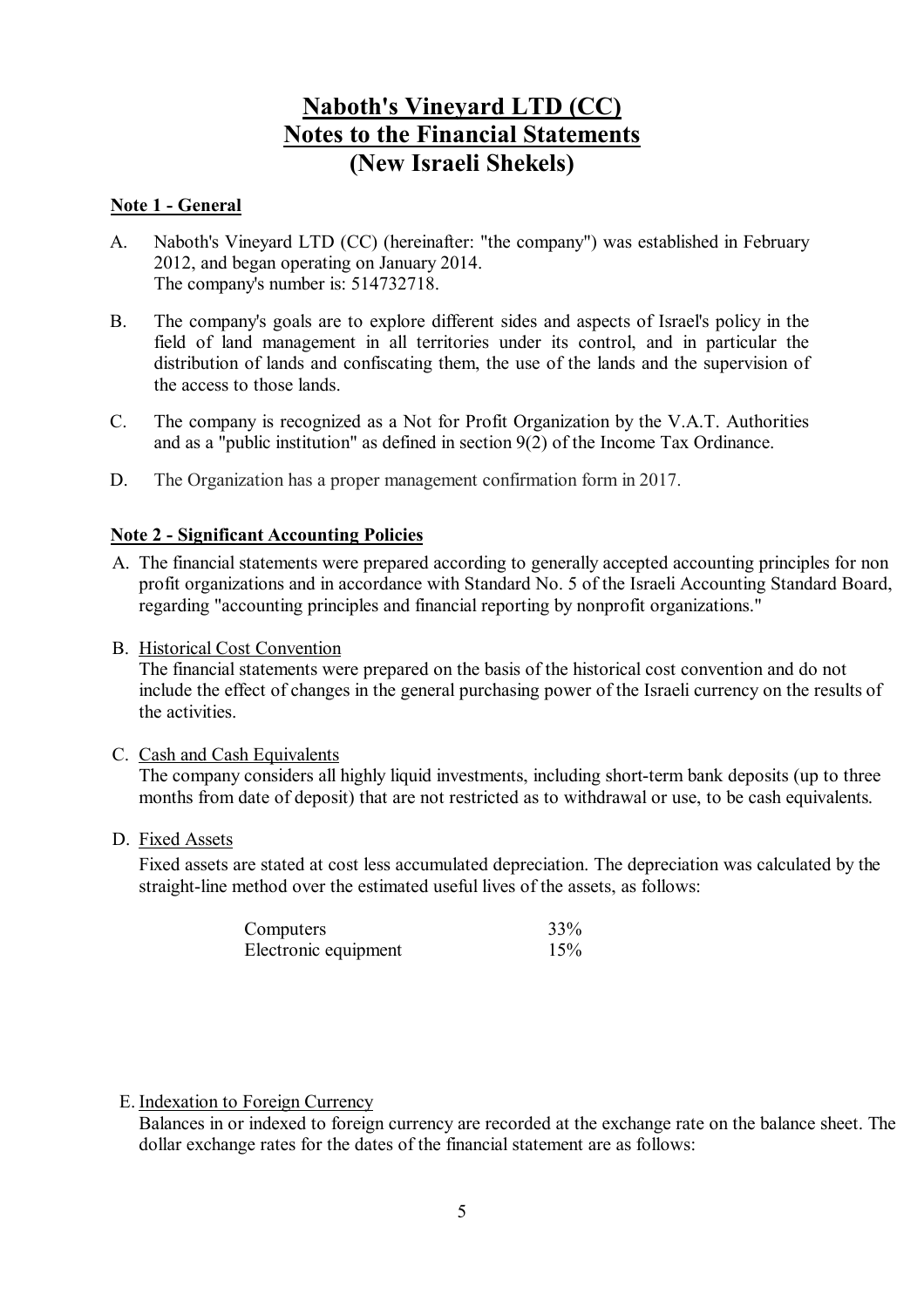#### **Note 1 - General**

- A. Naboth's Vineyard LTD (CC) (hereinafter: "the company") was established in February 2012, and began operating on January 2014. The company's number is: 514732718.
- B. The company's goals are to explore different sides and aspects of Israel's policy in the field of land management in all territories under its control, and in particular the distribution of lands and confiscating them, the use of the lands and the supervision of the access to those lands.
- C. The company is recognized as a Not for Profit Organization by the V.A.T. Authorities and as a "public institution" as defined in section 9(2) of the Income Tax Ordinance.
- D. The Organization has a proper management confirmation form in 2017.

#### **Note 2 - Significant Accounting Policies**

- A. The financial statements were prepared according to generally accepted accounting principles for non profit organizations and in accordance with Standard No. 5 of the Israeli Accounting Standard Board, regarding "accounting principles and financial reporting by nonprofit organizations."
- B. Historical Cost Convention

The financial statements were prepared on the basis of the historical cost convention and do not include the effect of changes in the general purchasing power of the Israeli currency on the results of the activities.

C. Cash and Cash Equivalents

The company considers all highly liquid investments, including short-term bank deposits (up to three months from date of deposit) that are not restricted as to withdrawal or use, to be cash equivalents.

D. Fixed Assets

Fixed assets are stated at cost less accumulated depreciation. The depreciation was calculated by the straight-line method over the estimated useful lives of the assets, as follows:

| Computers            | 33% |
|----------------------|-----|
| Electronic equipment | 15% |

#### E. Indexation to Foreign Currency

Balances in or indexed to foreign currency are recorded at the exchange rate on the balance sheet. The dollar exchange rates for the dates of the financial statement are as follows: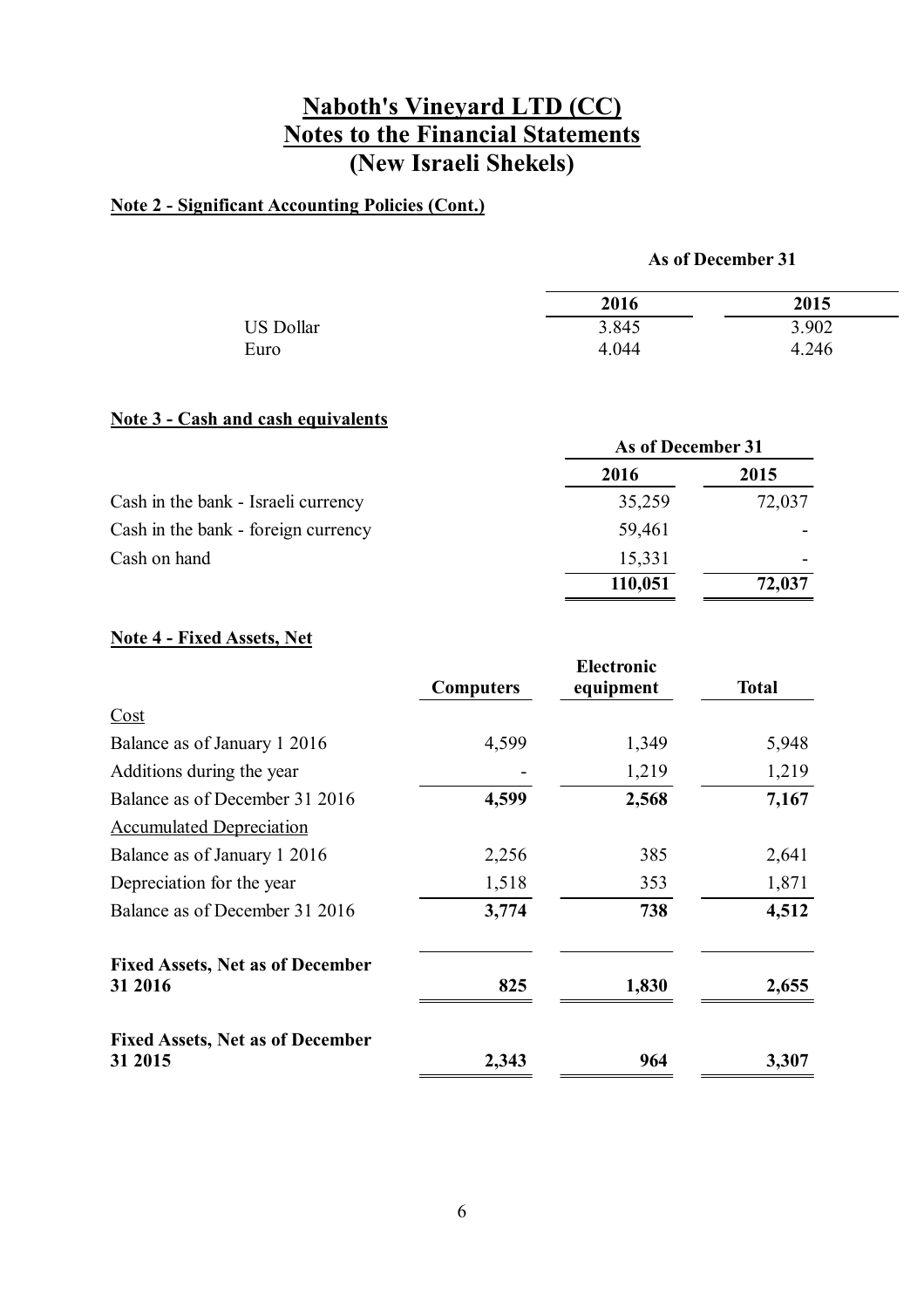### **Note 2 - Significant Accounting Policies (Cont.)**

#### **As of December 31**

|                  | 2016  | 2015  |
|------------------|-------|-------|
| <b>US Dollar</b> | 3.845 | 3.902 |
| Euro             | 4.044 | 4.246 |

### **Note 3 - Cash and cash equivalents**

|                                     | As of December 31 |        |
|-------------------------------------|-------------------|--------|
|                                     | 2016              | 2015   |
| Cash in the bank - Israeli currency | 35,259            | 72,037 |
| Cash in the bank - foreign currency | 59,461            |        |
| Cash on hand                        | 15,331            |        |
|                                     | 110,051           | 72,037 |

### **Note 4 - Fixed Assets, Net**

|                                                    |                  | <b>Electronic</b> |              |
|----------------------------------------------------|------------------|-------------------|--------------|
|                                                    | <b>Computers</b> | equipment         | <b>Total</b> |
| Cost                                               |                  |                   |              |
| Balance as of January 1 2016                       | 4,599            | 1,349             | 5,948        |
| Additions during the year                          |                  | 1,219             | 1,219        |
| Balance as of December 31 2016                     | 4,599            | 2,568             | 7,167        |
| <b>Accumulated Depreciation</b>                    |                  |                   |              |
| Balance as of January 1 2016                       | 2,256            | 385               | 2,641        |
| Depreciation for the year                          | 1,518            | 353               | 1,871        |
| Balance as of December 31 2016                     | 3,774            | 738               | 4,512        |
| <b>Fixed Assets, Net as of December</b><br>31 2016 | 825              | 1,830             | 2,655        |
| <b>Fixed Assets, Net as of December</b><br>31 2015 | 2,343            | 964               | 3,307        |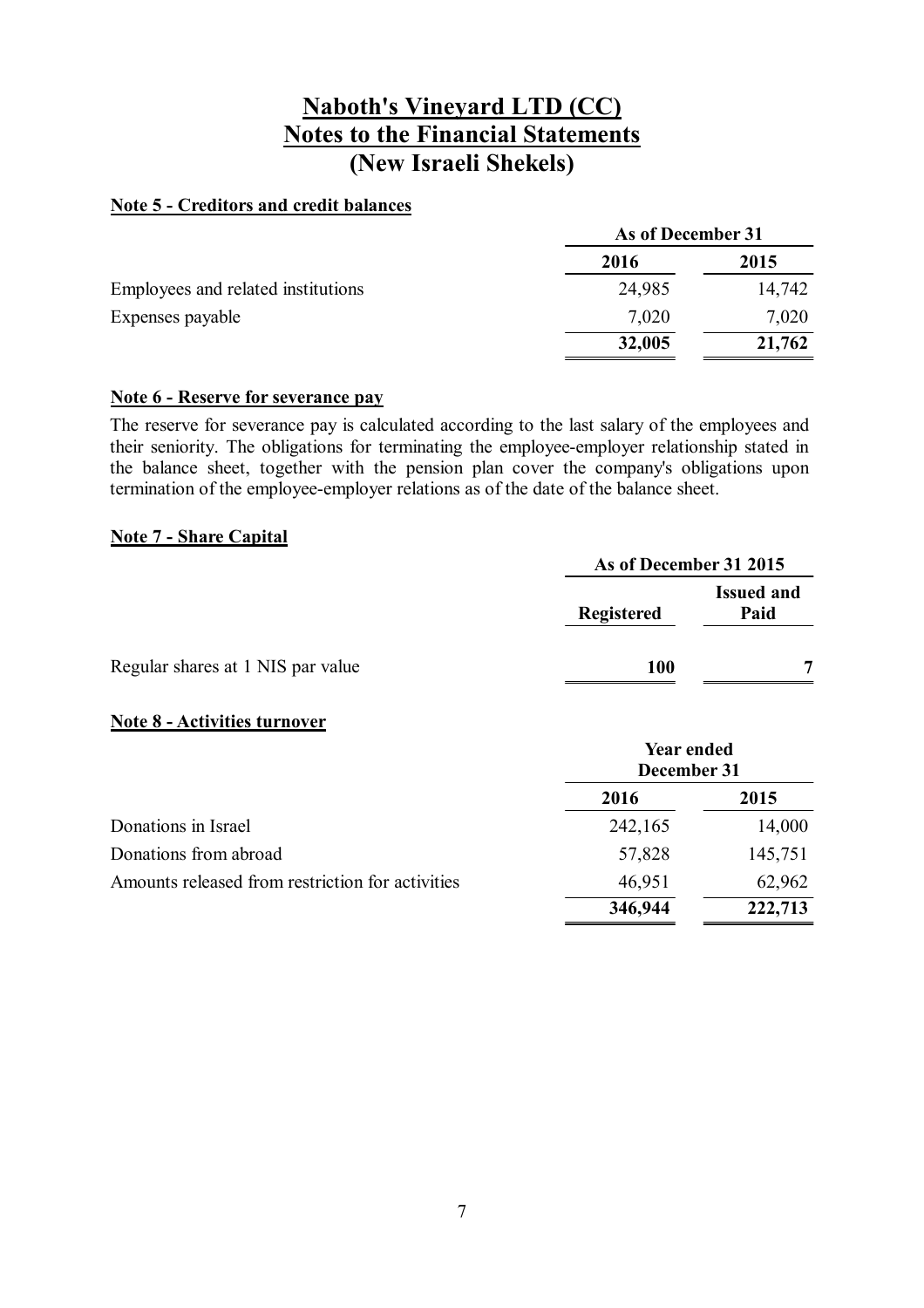#### **Note 5 - Creditors and credit balances**

|                                    | As of December 31 |        |
|------------------------------------|-------------------|--------|
|                                    | 2016              | 2015   |
| Employees and related institutions | 24,985            | 14,742 |
| Expenses payable                   | 7,020             | 7,020  |
|                                    | 32,005            | 21,762 |

#### **Note 6 - Reserve for severance pay**

The reserve for severance pay is calculated according to the last salary of the employees and their seniority. The obligations for terminating the employee-employer relationship stated in the balance sheet, together with the pension plan cover the company's obligations upon termination of the employee-employer relations as of the date of the balance sheet.

### **Note 7 - Share Capital**

|                                   | As of December 31 2015 |                           |
|-----------------------------------|------------------------|---------------------------|
|                                   | <b>Registered</b>      | <b>Issued and</b><br>Paid |
| Regular shares at 1 NIS par value | 100                    |                           |

#### **Note 8 - Activities turnover**

|                                                  | <b>Year ended</b><br>December 31 |         |
|--------------------------------------------------|----------------------------------|---------|
|                                                  | 2016                             | 2015    |
| Donations in Israel                              | 242,165                          | 14,000  |
| Donations from abroad                            | 57,828                           | 145,751 |
| Amounts released from restriction for activities | 46,951                           | 62,962  |
|                                                  | 346,944                          | 222,713 |